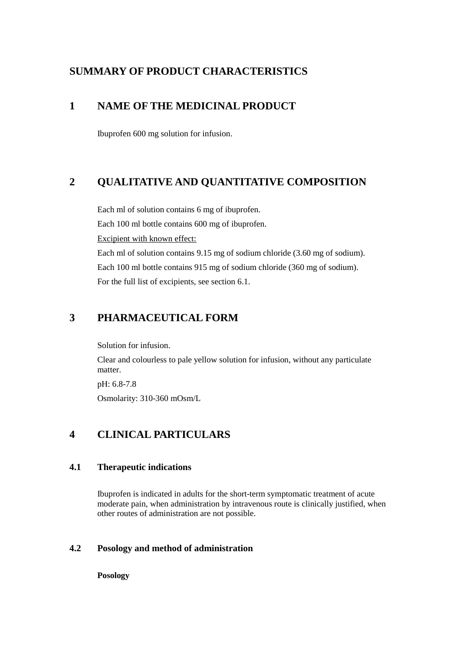# **SUMMARY OF PRODUCT CHARACTERISTICS**

# **1 NAME OF THE MEDICINAL PRODUCT**

Ibuprofen 600 mg solution for infusion.

# **2 QUALITATIVE AND QUANTITATIVE COMPOSITION**

Each ml of solution contains 6 mg of ibuprofen. Each 100 ml bottle contains 600 mg of ibuprofen. Excipient with known effect: Each ml of solution contains 9.15 mg of sodium chloride (3.60 mg of sodium). Each 100 ml bottle contains 915 mg of sodium chloride (360 mg of sodium). For the full list of excipients, see section 6.1.

# **3 PHARMACEUTICAL FORM**

Solution for infusion.

Clear and colourless to pale yellow solution for infusion, without any particulate matter.

pH: 6.8-7.8 Osmolarity: 310-360 mOsm/L

# **4 CLINICAL PARTICULARS**

# **4.1 Therapeutic indications**

Ibuprofen is indicated in adults for the short-term symptomatic treatment of acute moderate pain, when administration by intravenous route is clinically justified, when other routes of administration are not possible.

# **4.2 Posology and method of administration**

**Posology**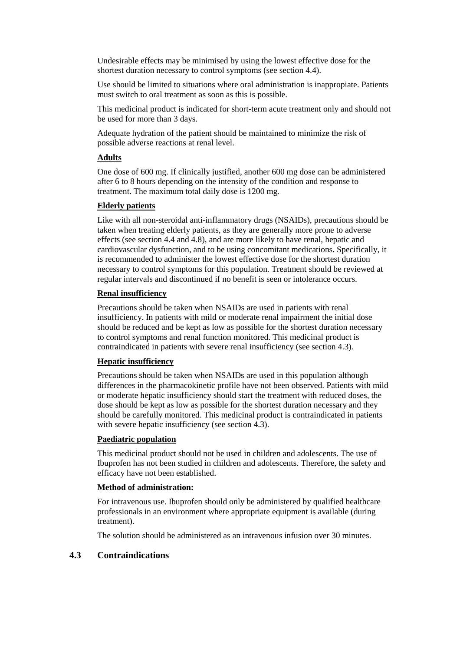Undesirable effects may be minimised by using the lowest effective dose for the shortest duration necessary to control symptoms (see section 4.4).

Use should be limited to situations where oral administration is inappropiate. Patients must switch to oral treatment as soon as this is possible.

This medicinal product is indicated for short-term acute treatment only and should not be used for more than 3 days.

Adequate hydration of the patient should be maintained to minimize the risk of possible adverse reactions at renal level.

## **Adults**

One dose of 600 mg. If clinically justified, another 600 mg dose can be administered after 6 to 8 hours depending on the intensity of the condition and response to treatment. The maximum total daily dose is 1200 mg.

## **Elderly patients**

Like with all non-steroidal anti-inflammatory drugs (NSAIDs), precautions should be taken when treating elderly patients, as they are generally more prone to adverse effects (see section 4.4 and 4.8), and are more likely to have renal, hepatic and cardiovascular dysfunction, and to be using concomitant medications. Specifically, it is recommended to administer the lowest effective dose for the shortest duration necessary to control symptoms for this population. Treatment should be reviewed at regular intervals and discontinued if no benefit is seen or intolerance occurs.

#### **Renal insufficiency**

Precautions should be taken when NSAIDs are used in patients with renal insufficiency. In patients with mild or moderate renal impairment the initial dose should be reduced and be kept as low as possible for the shortest duration necessary to control symptoms and renal function monitored. This medicinal product is contraindicated in patients with severe renal insufficiency (see section 4.3).

## **Hepatic insufficiency**

Precautions should be taken when NSAIDs are used in this population although differences in the pharmacokinetic profile have not been observed. Patients with mild or moderate hepatic insufficiency should start the treatment with reduced doses, the dose should be kept as low as possible for the shortest duration necessary and they should be carefully monitored. This medicinal product is contraindicated in patients with severe hepatic insufficiency (see section 4.3).

#### **Paediatric population**

This medicinal product should not be used in children and adolescents. The use of Ibuprofen has not been studied in children and adolescents. Therefore, the safety and efficacy have not been established.

## **Method of administration:**

For intravenous use. Ibuprofen should only be administered by qualified healthcare professionals in an environment where appropriate equipment is available (during treatment).

The solution should be administered as an intravenous infusion over 30 minutes.

## **4.3 Contraindications**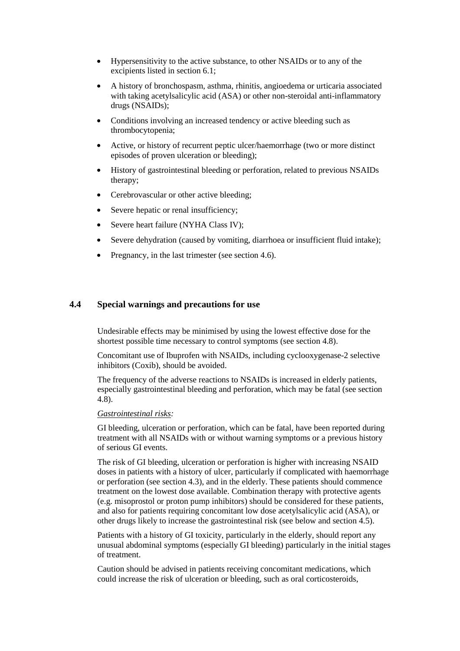- Hypersensitivity to the active substance, to other NSAIDs or to any of the excipients listed in section 6.1;
- A history of bronchospasm, asthma, rhinitis, angioedema or urticaria associated with taking acetylsalicylic acid (ASA) or other non-steroidal anti-inflammatory drugs (NSAIDs);
- Conditions involving an increased tendency or active bleeding such as thrombocytopenia;
- Active, or history of recurrent peptic ulcer/haemorrhage (two or more distinct episodes of proven ulceration or bleeding);
- History of gastrointestinal bleeding or perforation, related to previous NSAIDs therapy;
- Cerebrovascular or other active bleeding;
- Severe hepatic or renal insufficiency;
- Severe heart failure (NYHA Class IV);
- Severe dehydration (caused by vomiting, diarrhoea or insufficient fluid intake);
- Pregnancy, in the last trimester (see section 4.6).

## **4.4 Special warnings and precautions for use**

Undesirable effects may be minimised by using the lowest effective dose for the shortest possible time necessary to control symptoms (see section 4.8).

Concomitant use of Ibuprofen with NSAIDs, including cyclooxygenase-2 selective inhibitors (Coxib), should be avoided.

The frequency of the adverse reactions to NSAIDs is increased in elderly patients, especially gastrointestinal bleeding and perforation, which may be fatal (see section 4.8).

#### *Gastrointestinal risks:*

GI bleeding, ulceration or perforation, which can be fatal, have been reported during treatment with all NSAIDs with or without warning symptoms or a previous history of serious GI events.

The risk of GI bleeding, ulceration or perforation is higher with increasing NSAID doses in patients with a history of ulcer, particularly if complicated with haemorrhage or perforation (see section 4.3), and in the elderly. These patients should commence treatment on the lowest dose available. Combination therapy with protective agents (e.g. misoprostol or proton pump inhibitors) should be considered for these patients, and also for patients requiring concomitant low dose acetylsalicylic acid (ASA), or other drugs likely to increase the gastrointestinal risk (see below and section 4.5).

Patients with a history of GI toxicity, particularly in the elderly, should report any unusual abdominal symptoms (especially GI bleeding) particularly in the initial stages of treatment.

Caution should be advised in patients receiving concomitant medications, which could increase the risk of ulceration or bleeding, such as oral corticosteroids,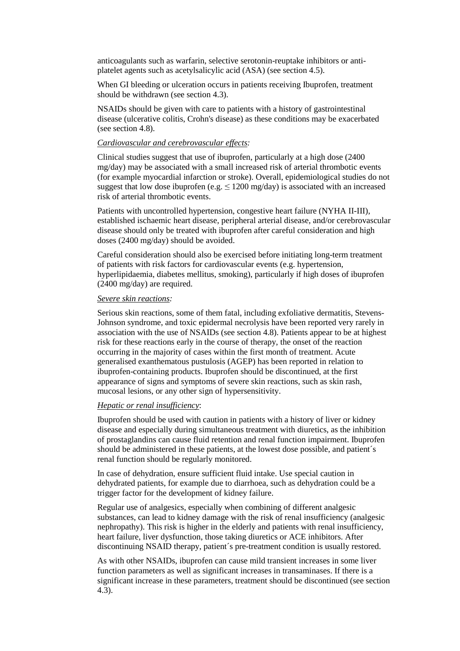anticoagulants such as warfarin, selective serotonin-reuptake inhibitors or antiplatelet agents such as acetylsalicylic acid (ASA) (see section 4.5).

When GI bleeding or ulceration occurs in patients receiving Ibuprofen, treatment should be withdrawn (see section 4.3).

NSAIDs should be given with care to patients with a history of gastrointestinal disease (ulcerative colitis, Crohn's disease) as these conditions may be exacerbated (see section 4.8).

#### *Cardiovascular and cerebrovascular effects:*

Clinical studies suggest that use of ibuprofen, particularly at a high dose (2400 mg/day) may be associated with a small increased risk of arterial thrombotic events (for example myocardial infarction or stroke). Overall, epidemiological studies do not suggest that low dose ibuprofen (e.g.  $\leq 1200$  mg/day) is associated with an increased risk of arterial thrombotic events.

Patients with uncontrolled hypertension, congestive heart failure (NYHA II-III), established ischaemic heart disease, peripheral arterial disease, and/or cerebrovascular disease should only be treated with ibuprofen after careful consideration and high doses (2400 mg/day) should be avoided.

Careful consideration should also be exercised before initiating long-term treatment of patients with risk factors for cardiovascular events (e.g. hypertension, hyperlipidaemia, diabetes mellitus, smoking), particularly if high doses of ibuprofen (2400 mg/day) are required.

#### *Severe skin reactions:*

Serious skin reactions, some of them fatal, including exfoliative dermatitis, Stevens-Johnson syndrome, and toxic epidermal necrolysis have been reported very rarely in association with the use of NSAIDs (see section 4.8). Patients appear to be at highest risk for these reactions early in the course of therapy, the onset of the reaction occurring in the majority of cases within the first month of treatment. Acute generalised exanthematous pustulosis (AGEP) has been reported in relation to ibuprofen-containing products. Ibuprofen should be discontinued, at the first appearance of signs and symptoms of severe skin reactions, such as skin rash, mucosal lesions, or any other sign of hypersensitivity.

## *Hepatic or renal insufficiency*:

Ibuprofen should be used with caution in patients with a history of liver or kidney disease and especially during simultaneous treatment with diuretics, as the inhibition of prostaglandins can cause fluid retention and renal function impairment. Ibuprofen should be administered in these patients, at the lowest dose possible, and patient´s renal function should be regularly monitored.

In case of dehydration, ensure sufficient fluid intake. Use special caution in dehydrated patients, for example due to diarrhoea, such as dehydration could be a trigger factor for the development of kidney failure.

Regular use of analgesics, especially when combining of different analgesic substances, can lead to kidney damage with the risk of renal insufficiency (analgesic nephropathy). This risk is higher in the elderly and patients with renal insufficiency, heart failure, liver dysfunction, those taking diuretics or ACE inhibitors. After discontinuing NSAID therapy, patient´s pre-treatment condition is usually restored.

As with other NSAIDs, ibuprofen can cause mild transient increases in some liver function parameters as well as significant increases in transaminases. If there is a significant increase in these parameters, treatment should be discontinued (see section 4.3).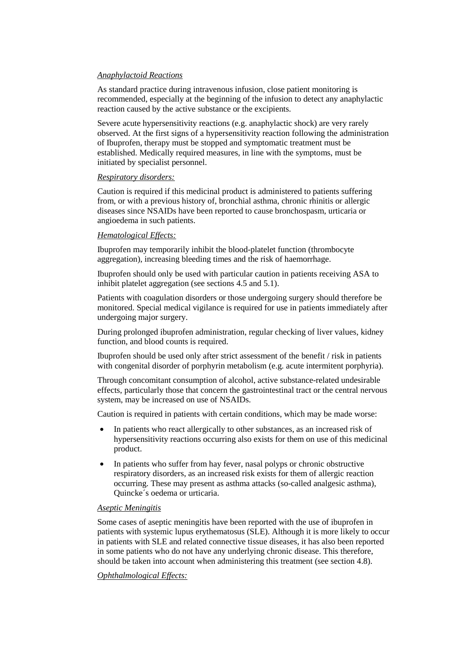## *Anaphylactoid Reactions*

As standard practice during intravenous infusion, close patient monitoring is recommended, especially at the beginning of the infusion to detect any anaphylactic reaction caused by the active substance or the excipients.

Severe acute hypersensitivity reactions (e.g. anaphylactic shock) are very rarely observed. At the first signs of a hypersensitivity reaction following the administration of Ibuprofen, therapy must be stopped and symptomatic treatment must be established. Medically required measures, in line with the symptoms, must be initiated by specialist personnel.

#### *Respiratory disorders:*

Caution is required if this medicinal product is administered to patients suffering from, or with a previous history of, bronchial asthma, chronic rhinitis or allergic diseases since NSAIDs have been reported to cause bronchospasm, urticaria or angioedema in such patients.

## *Hematological Effects:*

Ibuprofen may temporarily inhibit the blood-platelet function (thrombocyte aggregation), increasing bleeding times and the risk of haemorrhage.

Ibuprofen should only be used with particular caution in patients receiving ASA to inhibit platelet aggregation (see sections 4.5 and 5.1).

Patients with coagulation disorders or those undergoing surgery should therefore be monitored. Special medical vigilance is required for use in patients immediately after undergoing major surgery.

During prolonged ibuprofen administration, regular checking of liver values, kidney function, and blood counts is required.

Ibuprofen should be used only after strict assessment of the benefit / risk in patients with congenital disorder of porphyrin metabolism (e.g. acute intermitent porphyria).

Through concomitant consumption of alcohol, active substance-related undesirable effects, particularly those that concern the gastrointestinal tract or the central nervous system, may be increased on use of NSAIDs.

Caution is required in patients with certain conditions, which may be made worse:

- In patients who react allergically to other substances, as an increased risk of hypersensitivity reactions occurring also exists for them on use of this medicinal product.
- In patients who suffer from hay fever, nasal polyps or chronic obstructive respiratory disorders, as an increased risk exists for them of allergic reaction occurring. These may present as asthma attacks (so-called analgesic asthma), Quincke´s oedema or urticaria.

## *Aseptic Meningitis*

Some cases of aseptic meningitis have been reported with the use of ibuprofen in patients with systemic lupus erythematosus (SLE). Although it is more likely to occur in patients with SLE and related connective tissue diseases, it has also been reported in some patients who do not have any underlying chronic disease. This therefore, should be taken into account when administering this treatment (see section 4.8).

#### *Ophthalmological Effects:*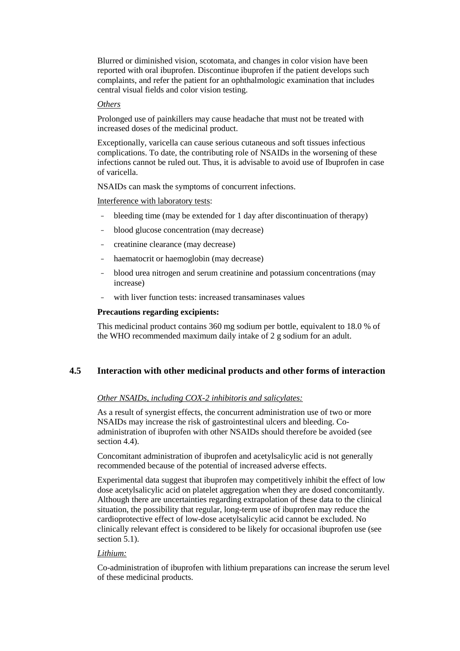Blurred or diminished vision, scotomata, and changes in color vision have been reported with oral ibuprofen. Discontinue ibuprofen if the patient develops such complaints, and refer the patient for an ophthalmologic examination that includes central visual fields and color vision testing.

#### *Others*

Prolonged use of painkillers may cause headache that must not be treated with increased doses of the medicinal product.

Exceptionally, varicella can cause serious cutaneous and soft tissues infectious complications. To date, the contributing role of NSAIDs in the worsening of these infections cannot be ruled out. Thus, it is advisable to avoid use of Ibuprofen in case of varicella.

NSAIDs can mask the symptoms of concurrent infections.

Interference with laboratory tests:

- bleeding time (may be extended for 1 day after discontinuation of therapy)
- blood glucose concentration (may decrease)
- creatinine clearance (may decrease)
- haematocrit or haemoglobin (may decrease)
- blood urea nitrogen and serum creatinine and potassium concentrations (may increase)
- with liver function tests: increased transaminases values

#### **Precautions regarding excipients:**

This medicinal product contains 360 mg sodium per bottle, equivalent to 18.0 % of the WHO recommended maximum daily intake of 2 g sodium for an adult.

# **4.5 Interaction with other medicinal products and other forms of interaction**

## *Other NSAIDs, including COX-2 inhibitoris and salicylates:*

As a result of synergist effects, the concurrent administration use of two or more NSAIDs may increase the risk of gastrointestinal ulcers and bleeding. Coadministration of ibuprofen with other NSAIDs should therefore be avoided (see section 4.4).

Concomitant administration of ibuprofen and acetylsalicylic acid is not generally recommended because of the potential of increased adverse effects.

Experimental data suggest that ibuprofen may competitively inhibit the effect of low dose acetylsalicylic acid on platelet aggregation when they are dosed concomitantly. Although there are uncertainties regarding extrapolation of these data to the clinical situation, the possibility that regular, long-term use of ibuprofen may reduce the cardioprotective effect of low-dose acetylsalicylic acid cannot be excluded. No clinically relevant effect is considered to be likely for occasional ibuprofen use (see section 5.1).

## *Lithium:*

Co-administration of ibuprofen with lithium preparations can increase the serum level of these medicinal products.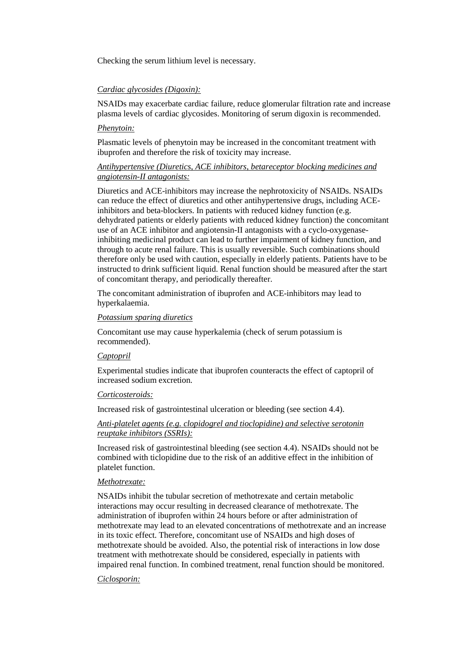Checking the serum lithium level is necessary.

## *Cardiac glycosides (Digoxin):*

NSAIDs may exacerbate cardiac failure, reduce glomerular filtration rate and increase plasma levels of cardiac glycosides. Monitoring of serum digoxin is recommended.

#### *Phenytoin:*

Plasmatic levels of phenytoin may be increased in the concomitant treatment with ibuprofen and therefore the risk of toxicity may increase.

## *Antihypertensive (Diuretics, ACE inhibitors, betareceptor blocking medicines and angiotensin-II antagonists:*

Diuretics and ACE-inhibitors may increase the nephrotoxicity of NSAIDs. NSAIDs can reduce the effect of diuretics and other antihypertensive drugs, including ACEinhibitors and beta-blockers. In patients with reduced kidney function (e.g. dehydrated patients or elderly patients with reduced kidney function) the concomitant use of an ACE inhibitor and angiotensin-II antagonists with a cyclo-oxygenaseinhibiting medicinal product can lead to further impairment of kidney function, and through to acute renal failure. This is usually reversible. Such combinations should therefore only be used with caution, especially in elderly patients. Patients have to be instructed to drink sufficient liquid. Renal function should be measured after the start of concomitant therapy, and periodically thereafter.

The concomitant administration of ibuprofen and ACE-inhibitors may lead to hyperkalaemia.

## *Potassium sparing diuretics*

Concomitant use may cause hyperkalemia (check of serum potassium is recommended).

#### *Captopril*

Experimental studies indicate that ibuprofen counteracts the effect of captopril of increased sodium excretion.

#### *Corticosteroids:*

Increased risk of gastrointestinal ulceration or bleeding (see section 4.4).

## *Anti-platelet agents (e.g. clopidogrel and tioclopidine) and selective serotonin reuptake inhibitors (SSRIs):*

Increased risk of gastrointestinal bleeding (see section 4.4). NSAIDs should not be combined with ticlopidine due to the risk of an additive effect in the inhibition of platelet function.

#### *Methotrexate:*

NSAIDs inhibit the tubular secretion of methotrexate and certain metabolic interactions may occur resulting in decreased clearance of methotrexate. The administration of ibuprofen within 24 hours before or after administration of methotrexate may lead to an elevated concentrations of methotrexate and an increase in its toxic effect. Therefore, concomitant use of NSAIDs and high doses of methotrexate should be avoided. Also, the potential risk of interactions in low dose treatment with methotrexate should be considered, especially in patients with impaired renal function. In combined treatment, renal function should be monitored.

#### *Ciclosporin:*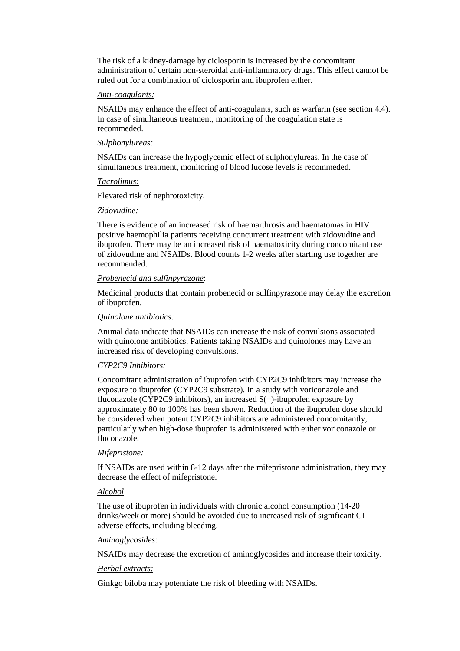The risk of a kidney-damage by ciclosporin is increased by the concomitant administration of certain non-steroidal anti-inflammatory drugs. This effect cannot be ruled out for a combination of ciclosporin and ibuprofen either.

#### *Anti-coagulants:*

NSAIDs may enhance the effect of anti-coagulants, such as warfarin (see section 4.4). In case of simultaneous treatment, monitoring of the coagulation state is recommeded.

#### *Sulphonylureas:*

NSAIDs can increase the hypoglycemic effect of sulphonylureas. In the case of simultaneous treatment, monitoring of blood lucose levels is recommeded.

#### *Tacrolimus:*

Elevated risk of nephrotoxicity.

#### *Zidovudine:*

There is evidence of an increased risk of haemarthrosis and haematomas in HIV positive haemophilia patients receiving concurrent treatment with zidovudine and ibuprofen. There may be an increased risk of haematoxicity during concomitant use of zidovudine and NSAIDs. Blood counts 1-2 weeks after starting use together are recommended.

#### *Probenecid and sulfinpyrazone*:

Medicinal products that contain probenecid or sulfinpyrazone may delay the excretion of ibuprofen.

#### *Quinolone antibiotics:*

Animal data indicate that NSAIDs can increase the risk of convulsions associated with quinolone antibiotics. Patients taking NSAIDs and quinolones may have an increased risk of developing convulsions.

## *CYP2C9 Inhibitors:*

Concomitant administration of ibuprofen with CYP2C9 inhibitors may increase the exposure to ibuprofen (CYP2C9 substrate). In a study with voriconazole and fluconazole (CYP2C9 inhibitors), an increased  $S(+)$ -ibuprofen exposure by approximately 80 to 100% has been shown. Reduction of the ibuprofen dose should be considered when potent CYP2C9 inhibitors are administered concomitantly, particularly when high-dose ibuprofen is administered with either voriconazole or fluconazole.

#### *Mifepristone:*

If NSAIDs are used within 8-12 days after the mifepristone administration, they may decrease the effect of mifepristone.

## *Alcohol*

The use of ibuprofen in individuals with chronic alcohol consumption (14-20 drinks/week or more) should be avoided due to increased risk of significant GI adverse effects, including bleeding.

#### *Aminoglycosides:*

NSAIDs may decrease the excretion of aminoglycosides and increase their toxicity.

#### *Herbal extracts:*

Ginkgo biloba may potentiate the risk of bleeding with NSAIDs.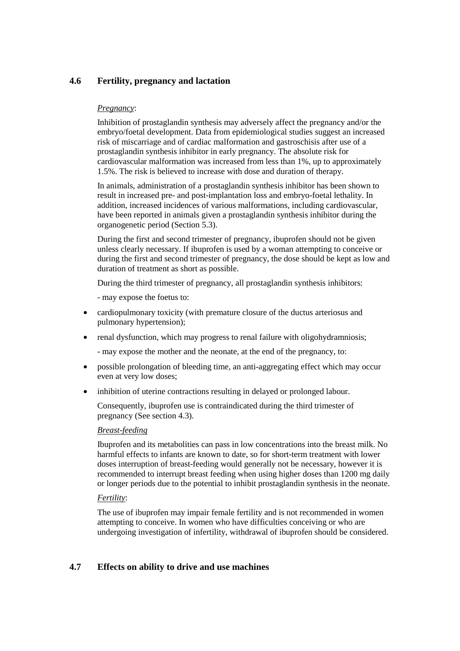# **4.6 Fertility, pregnancy and lactation**

## *Pregnancy*:

Inhibition of prostaglandin synthesis may adversely affect the pregnancy and/or the embryo/foetal development. Data from epidemiological studies suggest an increased risk of miscarriage and of cardiac malformation and gastroschisis after use of a prostaglandin synthesis inhibitor in early pregnancy. The absolute risk for cardiovascular malformation was increased from less than 1%, up to approximately 1.5%. The risk is believed to increase with dose and duration of therapy.

In animals, administration of a prostaglandin synthesis inhibitor has been shown to result in increased pre- and post-implantation loss and embryo-foetal lethality. In addition, increased incidences of various malformations, including cardiovascular, have been reported in animals given a prostaglandin synthesis inhibitor during the organogenetic period (Section 5.3).

During the first and second trimester of pregnancy, ibuprofen should not be given unless clearly necessary. If ibuprofen is used by a woman attempting to conceive or during the first and second trimester of pregnancy, the dose should be kept as low and duration of treatment as short as possible.

During the third trimester of pregnancy, all prostaglandin synthesis inhibitors:

- may expose the foetus to:

- cardiopulmonary toxicity (with premature closure of the ductus arteriosus and pulmonary hypertension);
- renal dysfunction, which may progress to renal failure with oligohydramniosis;
	- may expose the mother and the neonate, at the end of the pregnancy, to:
- possible prolongation of bleeding time, an anti-aggregating effect which may occur even at very low doses;
- inhibition of uterine contractions resulting in delayed or prolonged labour.

Consequently, ibuprofen use is contraindicated during the third trimester of pregnancy (See section 4.3).

## *Breast-feeding*

Ibuprofen and its metabolities can pass in low concentrations into the breast milk. No harmful effects to infants are known to date, so for short-term treatment with lower doses interruption of breast-feeding would generally not be necessary, however it is recommended to interrupt breast feeding when using higher doses than 1200 mg daily or longer periods due to the potential to inhibit prostaglandin synthesis in the neonate.

## *Fertility*:

The use of ibuprofen may impair female fertility and is not recommended in women attempting to conceive. In women who have difficulties conceiving or who are undergoing investigation of infertility, withdrawal of ibuprofen should be considered.

# **4.7 Effects on ability to drive and use machines**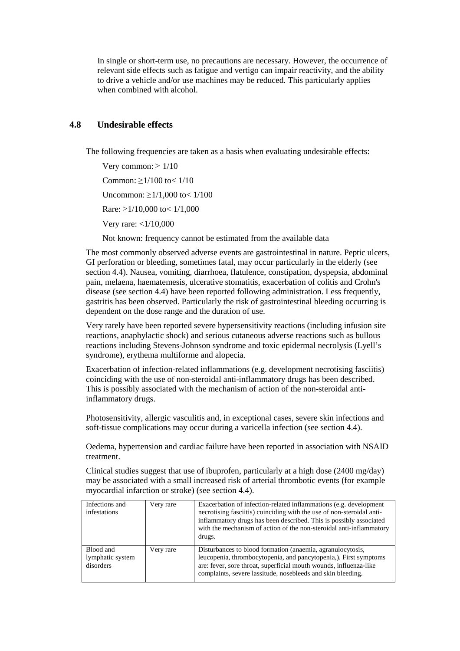In single or short-term use, no precautions are necessary. However, the occurrence of relevant side effects such as fatigue and vertigo can impair reactivity, and the ability to drive a vehicle and/or use machines may be reduced. This particularly applies when combined with alcohol.

# **4.8 Undesirable effects**

The following frequencies are taken as a basis when evaluating undesirable effects:

Very common:  $> 1/10$ Common: ≥1/100 to< 1/10 Uncommon: ≥1/1,000 to< 1/100 Rare: ≥1/10,000 to< 1/1,000 Very rare: <1/10,000

Not known: frequency cannot be estimated from the available data

The most commonly observed adverse events are gastrointestinal in nature. Peptic ulcers, GI perforation or bleeding, sometimes fatal, may occur particularly in the elderly (see section 4.4). Nausea, vomiting, diarrhoea, flatulence, constipation, dyspepsia, abdominal pain, melaena, haematemesis, ulcerative stomatitis, exacerbation of colitis and Crohn's disease (see section 4.4) have been reported following administration. Less frequently, gastritis has been observed. Particularly the risk of gastrointestinal bleeding occurring is dependent on the dose range and the duration of use.

Very rarely have been reported severe hypersensitivity reactions (including infusion site reactions, anaphylactic shock) and serious cutaneous adverse reactions such as bullous reactions including Stevens-Johnson syndrome and toxic epidermal necrolysis (Lyell's syndrome), erythema multiforme and alopecia.

Exacerbation of infection-related inflammations (e.g. development necrotising fasciitis) coinciding with the use of non-steroidal anti-inflammatory drugs has been described. This is possibly associated with the mechanism of action of the non-steroidal antiinflammatory drugs.

Photosensitivity, allergic vasculitis and, in exceptional cases, severe skin infections and soft-tissue complications may occur during a varicella infection (see section 4.4).

Oedema, hypertension and cardiac failure have been reported in association with NSAID treatment.

Clinical studies suggest that use of ibuprofen, particularly at a high dose (2400 mg/day) may be associated with a small increased risk of arterial thrombotic events (for example myocardial infarction or stroke) (see section 4.4).

| Infections and<br>infestations             | Very rare | Exacerbation of infection-related inflammations (e.g. development<br>necrotising fasciitis) coinciding with the use of non-steroidal anti-<br>inflammatory drugs has been described. This is possibly associated<br>with the mechanism of action of the non-steroidal anti-inflammatory<br>drugs. |
|--------------------------------------------|-----------|---------------------------------------------------------------------------------------------------------------------------------------------------------------------------------------------------------------------------------------------------------------------------------------------------|
| Blood and<br>lymphatic system<br>disorders | Very rare | Disturbances to blood formation (anaemia, agranulocytosis,<br>leucopenia, thrombocytopenia, and pancytopenia,). First symptoms<br>are: fever, sore throat, superficial mouth wounds, influenza-like<br>complaints, severe lassitude, nosebleeds and skin bleeding.                                |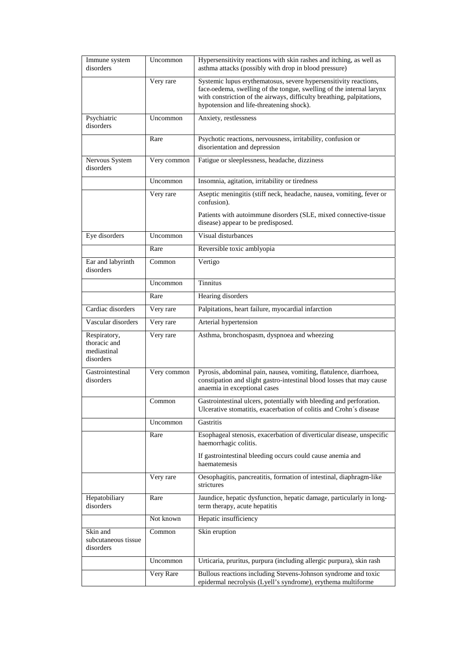| Immune system<br>disorders                               | Uncommon    | Hypersensitivity reactions with skin rashes and itching, as well as<br>asthma attacks (possibly with drop in blood pressure)                                                                                                                                  |
|----------------------------------------------------------|-------------|---------------------------------------------------------------------------------------------------------------------------------------------------------------------------------------------------------------------------------------------------------------|
|                                                          | Very rare   | Systemic lupus erythematosus, severe hypersensitivity reactions,<br>face-oedema, swelling of the tongue, swelling of the internal larynx<br>with constriction of the airways, difficulty breathing, palpitations,<br>hypotension and life-threatening shock). |
| Psychiatric<br>disorders                                 | Uncommon    | Anxiety, restlessness                                                                                                                                                                                                                                         |
|                                                          | Rare        | Psychotic reactions, nervousness, irritability, confusion or<br>disorientation and depression                                                                                                                                                                 |
| Nervous System<br>disorders                              | Very common | Fatigue or sleeplessness, headache, dizziness                                                                                                                                                                                                                 |
|                                                          | Uncommon    | Insomnia, agitation, irritability or tiredness                                                                                                                                                                                                                |
|                                                          | Very rare   | Aseptic meningitis (stiff neck, headache, nausea, vomiting, fever or<br>confusion).                                                                                                                                                                           |
|                                                          |             | Patients with autoimmune disorders (SLE, mixed connective-tissue<br>disease) appear to be predisposed.                                                                                                                                                        |
| Eye disorders                                            | Uncommon    | Visual disturbances                                                                                                                                                                                                                                           |
|                                                          | Rare        | Reversible toxic amblyopia                                                                                                                                                                                                                                    |
| Ear and labyrinth<br>disorders                           | Common      | Vertigo                                                                                                                                                                                                                                                       |
|                                                          | Uncommon    | Tinnitus                                                                                                                                                                                                                                                      |
|                                                          | Rare        | Hearing disorders                                                                                                                                                                                                                                             |
| Cardiac disorders                                        | Very rare   | Palpitations, heart failure, myocardial infarction                                                                                                                                                                                                            |
| Vascular disorders                                       | Very rare   | Arterial hypertension                                                                                                                                                                                                                                         |
| Respiratory,<br>thoracic and<br>mediastinal<br>disorders | Very rare   | Asthma, bronchospasm, dyspnoea and wheezing                                                                                                                                                                                                                   |
| Gastrointestinal<br>disorders                            | Very common | Pyrosis, abdominal pain, nausea, vomiting, flatulence, diarrhoea,<br>constipation and slight gastro-intestinal blood losses that may cause<br>anaemia in exceptional cases                                                                                    |
|                                                          | Common      | Gastrointestinal ulcers, potentially with bleeding and perforation.<br>Ulcerative stomatitis, exacerbation of colitis and Crohn's disease                                                                                                                     |
|                                                          | Uncommon    | Gastritis                                                                                                                                                                                                                                                     |
|                                                          | Rare        | Esophageal stenosis, exacerbation of diverticular disease, unspecific<br>haemorrhagic colitis.                                                                                                                                                                |
|                                                          |             | If gastrointestinal bleeding occurs could cause anemia and<br>haematemesis                                                                                                                                                                                    |
|                                                          | Very rare   | Oesophagitis, pancreatitis, formation of intestinal, diaphragm-like<br>strictures                                                                                                                                                                             |
| Hepatobiliary<br>disorders                               | Rare        | Jaundice, hepatic dysfunction, hepatic damage, particularly in long-<br>term therapy, acute hepatitis                                                                                                                                                         |
|                                                          | Not known   | Hepatic insufficiency                                                                                                                                                                                                                                         |
| Skin and<br>subcutaneous tissue<br>disorders             | Common      | Skin eruption                                                                                                                                                                                                                                                 |
|                                                          | Uncommon    | Urticaria, pruritus, purpura (including allergic purpura), skin rash                                                                                                                                                                                          |
|                                                          | Very Rare   | Bullous reactions including Stevens-Johnson syndrome and toxic<br>epidermal necrolysis (Lyell's syndrome), erythema multiforme                                                                                                                                |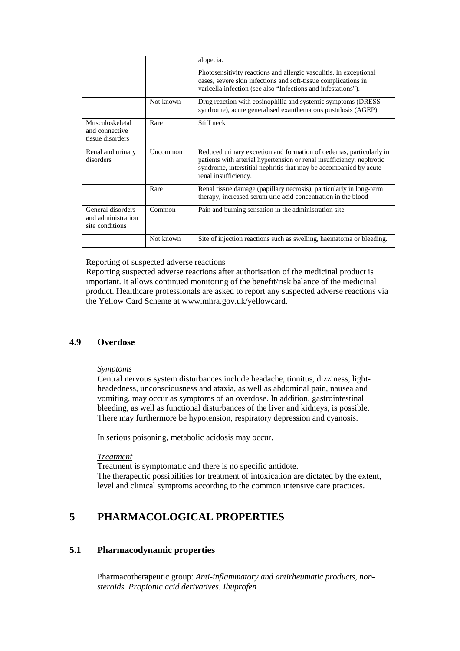|                                                            |           | alopecia.                                                                                                                                                                                                                                 |
|------------------------------------------------------------|-----------|-------------------------------------------------------------------------------------------------------------------------------------------------------------------------------------------------------------------------------------------|
|                                                            |           | Photosensitivity reactions and allergic vasculitis. In exceptional<br>cases, severe skin infections and soft-tissue complications in<br>varicella infection (see also "Infections and infestations").                                     |
|                                                            | Not known | Drug reaction with eosinophilia and systemic symptoms (DRESS)<br>syndrome), acute generalised exanthematous pustulosis (AGEP)                                                                                                             |
| Musculoskeletal<br>and connective<br>tissue disorders      | Rare      | Stiff neck                                                                                                                                                                                                                                |
| Renal and urinary<br>disorders                             | Uncommon  | Reduced urinary excretion and formation of oedemas, particularly in<br>patients with arterial hypertension or renal insufficiency, nephrotic<br>syndrome, interstitial nephritis that may be accompanied by acute<br>renal insufficiency. |
|                                                            | Rare      | Renal tissue damage (papillary necrosis), particularly in long-term<br>therapy, increased serum uric acid concentration in the blood                                                                                                      |
| General disorders<br>and administration<br>site conditions | Common    | Pain and burning sensation in the administration site                                                                                                                                                                                     |
|                                                            | Not known | Site of injection reactions such as swelling, haematoma or bleeding.                                                                                                                                                                      |

Reporting of suspected adverse reactions

Reporting suspected adverse reactions after authorisation of the medicinal product is important. It allows continued monitoring of the benefit/risk balance of the medicinal product. Healthcare professionals are asked to report any suspected adverse reactions via the Yellow Card Scheme at www.mhra.gov.uk/yellowcard.

# **4.9 Overdose**

## *Symptoms*

Central nervous system disturbances include headache, tinnitus, dizziness, lightheadedness, unconsciousness and ataxia, as well as abdominal pain, nausea and vomiting, may occur as symptoms of an overdose. In addition, gastrointestinal bleeding, as well as functional disturbances of the liver and kidneys, is possible. There may furthermore be hypotension, respiratory depression and cyanosis.

In serious poisoning, metabolic acidosis may occur.

#### *Treatment*

Treatment is symptomatic and there is no specific antidote. The therapeutic possibilities for treatment of intoxication are dictated by the extent, level and clinical symptoms according to the common intensive care practices.

# **5 PHARMACOLOGICAL PROPERTIES**

# **5.1 Pharmacodynamic properties**

Pharmacotherapeutic group: *Anti-inflammatory and antirheumatic products, nonsteroids. Propionic acid derivatives. Ibuprofen*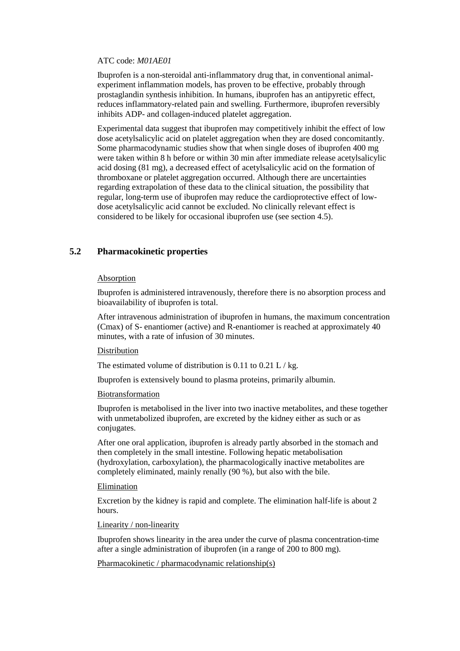#### ATC code: *M01AE01*

Ibuprofen is a non-steroidal anti-inflammatory drug that, in conventional animalexperiment inflammation models, has proven to be effective, probably through prostaglandin synthesis inhibition. In humans, ibuprofen has an antipyretic effect, reduces inflammatory-related pain and swelling. Furthermore, ibuprofen reversibly inhibits ADP- and collagen-induced platelet aggregation.

Experimental data suggest that ibuprofen may competitively inhibit the effect of low dose acetylsalicylic acid on platelet aggregation when they are dosed concomitantly. Some pharmacodynamic studies show that when single doses of ibuprofen 400 mg were taken within 8 h before or within 30 min after immediate release acetylsalicylic acid dosing (81 mg), a decreased effect of acetylsalicylic acid on the formation of thromboxane or platelet aggregation occurred. Although there are uncertainties regarding extrapolation of these data to the clinical situation, the possibility that regular, long-term use of ibuprofen may reduce the cardioprotective effect of lowdose acetylsalicylic acid cannot be excluded. No clinically relevant effect is considered to be likely for occasional ibuprofen use (see section 4.5).

# **5.2 Pharmacokinetic properties**

#### Absorption

Ibuprofen is administered intravenously, therefore there is no absorption process and bioavailability of ibuprofen is total.

After intravenous administration of ibuprofen in humans, the maximum concentration (Cmax) of S- enantiomer (active) and R-enantiomer is reached at approximately 40 minutes, with a rate of infusion of 30 minutes.

#### Distribution

The estimated volume of distribution is 0.11 to 0.21 L / kg.

Ibuprofen is extensively bound to plasma proteins, primarily albumin.

## Biotransformation

Ibuprofen is metabolised in the liver into two inactive metabolites, and these together with unmetabolized ibuprofen, are excreted by the kidney either as such or as conjugates.

After one oral application, ibuprofen is already partly absorbed in the stomach and then completely in the small intestine. Following hepatic metabolisation (hydroxylation, carboxylation), the pharmacologically inactive metabolites are completely eliminated, mainly renally (90 %), but also with the bile.

#### Elimination

Excretion by the kidney is rapid and complete. The elimination half-life is about 2 hours.

#### Linearity / non-linearity

Ibuprofen shows linearity in the area under the curve of plasma concentration-time after a single administration of ibuprofen (in a range of 200 to 800 mg).

Pharmacokinetic / pharmacodynamic relationship(s)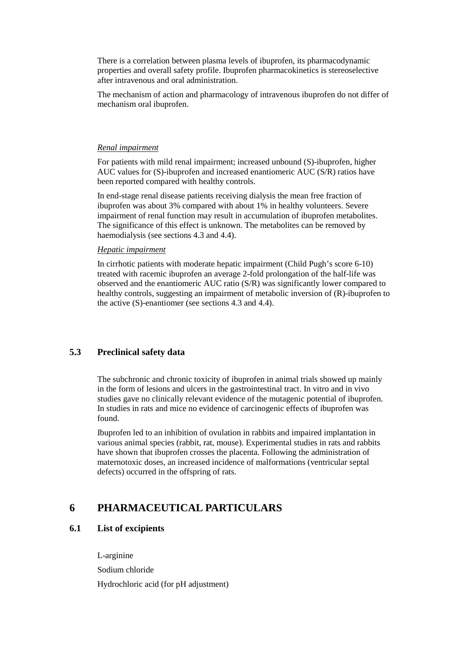There is a correlation between plasma levels of ibuprofen, its pharmacodynamic properties and overall safety profile. Ibuprofen pharmacokinetics is stereoselective after intravenous and oral administration.

The mechanism of action and pharmacology of intravenous ibuprofen do not differ of mechanism oral ibuprofen.

#### *Renal impairment*

For patients with mild renal impairment; increased unbound (S)-ibuprofen, higher AUC values for (S)-ibuprofen and increased enantiomeric AUC (S/R) ratios have been reported compared with healthy controls.

In end-stage renal disease patients receiving dialysis the mean free fraction of ibuprofen was about 3% compared with about 1% in healthy volunteers. Severe impairment of renal function may result in accumulation of ibuprofen metabolites. The significance of this effect is unknown. The metabolites can be removed by haemodialysis (see sections 4.3 and 4.4).

#### *Hepatic impairment*

In cirrhotic patients with moderate hepatic impairment (Child Pugh's score 6-10) treated with racemic ibuprofen an average 2-fold prolongation of the half-life was observed and the enantiomeric AUC ratio (S/R) was significantly lower compared to healthy controls, suggesting an impairment of metabolic inversion of (R)-ibuprofen to the active (S)-enantiomer (see sections 4.3 and 4.4).

## **5.3 Preclinical safety data**

The subchronic and chronic toxicity of ibuprofen in animal trials showed up mainly in the form of lesions and ulcers in the gastrointestinal tract. In vitro and in vivo studies gave no clinically relevant evidence of the mutagenic potential of ibuprofen. In studies in rats and mice no evidence of carcinogenic effects of ibuprofen was found.

Ibuprofen led to an inhibition of ovulation in rabbits and impaired implantation in various animal species (rabbit, rat, mouse). Experimental studies in rats and rabbits have shown that ibuprofen crosses the placenta. Following the administration of maternotoxic doses, an increased incidence of malformations (ventricular septal defects) occurred in the offspring of rats.

# **6 PHARMACEUTICAL PARTICULARS**

## **6.1 List of excipients**

L-arginine Sodium chloride Hydrochloric acid (for pH adjustment)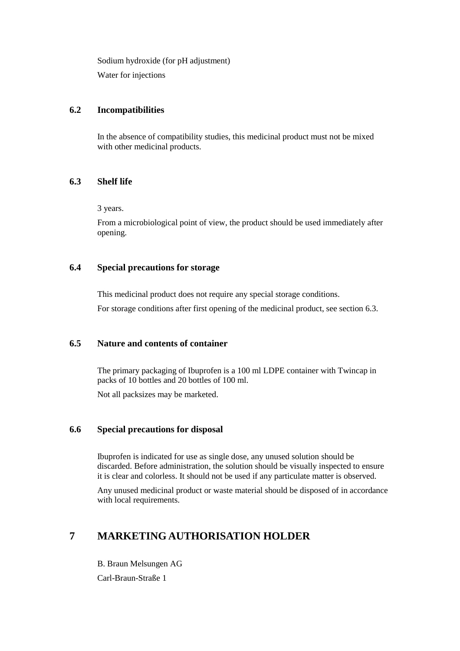Sodium hydroxide (for pH adjustment)

Water for injections

# **6.2 Incompatibilities**

In the absence of compatibility studies, this medicinal product must not be mixed with other medicinal products.

# **6.3 Shelf life**

3 years.

From a microbiological point of view, the product should be used immediately after opening.

# **6.4 Special precautions for storage**

This medicinal product does not require any special storage conditions.

For storage conditions after first opening of the medicinal product, see section 6.3.

# **6.5 Nature and contents of container**

The primary packaging of Ibuprofen is a 100 ml LDPE container with Twincap in packs of 10 bottles and 20 bottles of 100 ml.

Not all packsizes may be marketed.

# **6.6 Special precautions for disposal**

Ibuprofen is indicated for use as single dose, any unused solution should be discarded. Before administration, the solution should be visually inspected to ensure it is clear and colorless. It should not be used if any particulate matter is observed.

Any unused medicinal product or waste material should be disposed of in accordance with local requirements.

# **7 MARKETING AUTHORISATION HOLDER**

B. Braun Melsungen AG

Carl-Braun-Straße 1